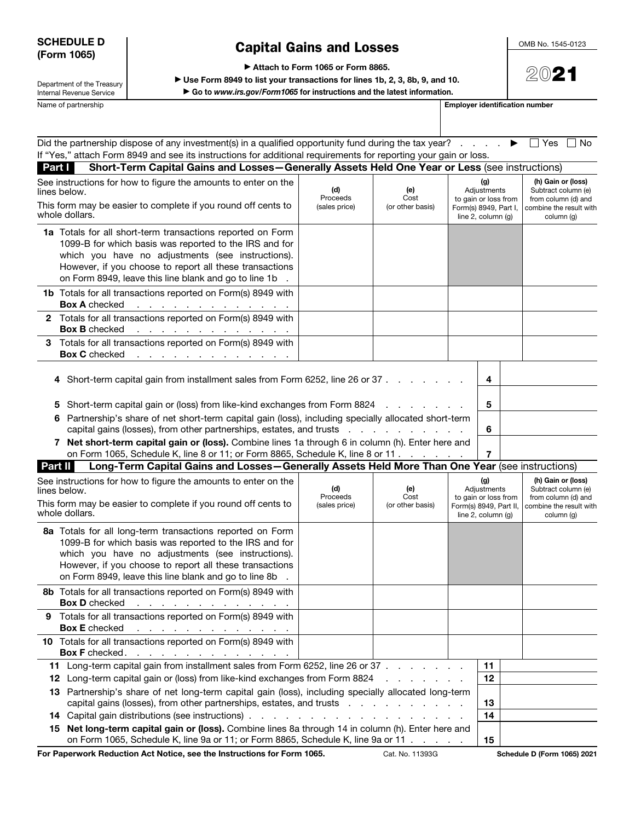#### SCHEDULE D (Form 1065)

# Capital Gains and Losses

OMB No. 1545-0123

▶ Attach to Form 1065 or Form 8865.

▶ Use Form 8949 to list your transactions for lines 1b, 2, 3, 8b, 9, and 10.

▶ Go to *www.irs.gov/Form1065* for instructions and the latest information.

Internal Revenue Service Name of partnership **Employer identification number Employer identification number** 

Department of the Treasury

| $\mathfrak{D}(\cap)$ 9<br>$\blacktriangle$ :<br>ر ب |
|-----------------------------------------------------|
|-----------------------------------------------------|

| Did the partnership dispose of any investment(s) in a qualified opportunity fund during the tax year?<br>If "Yes," attach Form 8949 and see its instructions for additional requirements for reporting your gain or loss.<br>Short-Term Capital Gains and Losses-Generally Assets Held One Year or Less (see instructions)                                                                                                                                   |                                  |                                 |                                                                                            |             | $\Box$ Yes<br>l No                                                                                        |
|--------------------------------------------------------------------------------------------------------------------------------------------------------------------------------------------------------------------------------------------------------------------------------------------------------------------------------------------------------------------------------------------------------------------------------------------------------------|----------------------------------|---------------------------------|--------------------------------------------------------------------------------------------|-------------|-----------------------------------------------------------------------------------------------------------|
| Part I<br>See instructions for how to figure the amounts to enter on the<br>lines below.<br>This form may be easier to complete if you round off cents to<br>whole dollars.                                                                                                                                                                                                                                                                                  | (d)<br>Proceeds<br>(sales price) | (e)<br>Cost<br>(or other basis) | (g)<br>Adjustments<br>to gain or loss from<br>Form(s) 8949, Part I,<br>line 2, column (g)  |             | (h) Gain or (loss)<br>Subtract column (e)<br>from column (d) and<br>combine the result with<br>column (q) |
| 1a Totals for all short-term transactions reported on Form<br>1099-B for which basis was reported to the IRS and for<br>which you have no adjustments (see instructions).<br>However, if you choose to report all these transactions<br>on Form 8949, leave this line blank and go to line 1b                                                                                                                                                                |                                  |                                 |                                                                                            |             |                                                                                                           |
| <b>1b</b> Totals for all transactions reported on Form(s) 8949 with<br><b>Box A checked</b><br>$\alpha$ , which is a simple polarization of the $\alpha$                                                                                                                                                                                                                                                                                                     |                                  |                                 |                                                                                            |             |                                                                                                           |
| Totals for all transactions reported on Form(s) 8949 with<br>$\mathbf{2}$<br><b>Box B</b> checked<br>$\alpha$ , which is a set of the probability of the set of the $\alpha$                                                                                                                                                                                                                                                                                 |                                  |                                 |                                                                                            |             |                                                                                                           |
| Totals for all transactions reported on Form(s) 8949 with<br>3.<br><b>Box C</b> checked<br>$\mathcal{A}$ . The simple properties of the simple properties of $\mathcal{A}$                                                                                                                                                                                                                                                                                   |                                  |                                 |                                                                                            |             |                                                                                                           |
| Short-term capital gain or (loss) from like-kind exchanges from Form 8824<br>5<br>Partnership's share of net short-term capital gain (loss), including specially allocated short-term<br>6<br>capital gains (losses), from other partnerships, estates, and trusts<br>Net short-term capital gain or (loss). Combine lines 1a through 6 in column (h). Enter here and<br>7<br>on Form 1065, Schedule K, line 8 or 11; or Form 8865, Schedule K, line 8 or 11 |                                  |                                 |                                                                                            | 5<br>6<br>7 |                                                                                                           |
| Long-Term Capital Gains and Losses-Generally Assets Held More Than One Year (see instructions)<br>Part II                                                                                                                                                                                                                                                                                                                                                    |                                  |                                 |                                                                                            |             |                                                                                                           |
| See instructions for how to figure the amounts to enter on the<br>lines below.<br>This form may be easier to complete if you round off cents to<br>whole dollars.                                                                                                                                                                                                                                                                                            | (d)<br>Proceeds<br>(sales price) | (e)<br>Cost<br>(or other basis) | (g)<br>Adjustments<br>to gain or loss from<br>Form(s) 8949, Part II,<br>line 2, column (g) |             | (h) Gain or (loss)<br>Subtract column (e)<br>from column (d) and<br>combine the result with<br>column (g) |
| 8a Totals for all long-term transactions reported on Form<br>1099-B for which basis was reported to the IRS and for<br>which you have no adjustments (see instructions).<br>However, if you choose to report all these transactions<br>on Form 8949, leave this line blank and go to line 8b                                                                                                                                                                 |                                  |                                 |                                                                                            |             |                                                                                                           |
| 8b Totals for all transactions reported on Form(s) 8949 with<br><b>Box D</b> checked<br>and a series of the contract of the contract of                                                                                                                                                                                                                                                                                                                      |                                  |                                 |                                                                                            |             |                                                                                                           |
| 9 Totals for all transactions reported on Form(s) 8949 with<br><b>Box E</b> checked<br>$\mathcal{L}^{\mathcal{A}}$ . The set of the set of the set of the set of the $\mathcal{L}^{\mathcal{A}}$                                                                                                                                                                                                                                                             |                                  |                                 |                                                                                            |             |                                                                                                           |
| 10 Totals for all transactions reported on Form(s) 8949 with<br><b>Box F</b> checked.<br>$\mathcal{A}$ is a set of the set of the set of the set of the set of $\mathcal{A}$                                                                                                                                                                                                                                                                                 |                                  |                                 |                                                                                            |             |                                                                                                           |
| 11 Long-term capital gain from installment sales from Form 6252, line 26 or 37                                                                                                                                                                                                                                                                                                                                                                               |                                  |                                 |                                                                                            | 11<br>12    |                                                                                                           |
| 12 Long-term capital gain or (loss) from like-kind exchanges from Form 8824<br>and a state of the state of                                                                                                                                                                                                                                                                                                                                                   |                                  |                                 |                                                                                            |             |                                                                                                           |
| 13 Partnership's share of net long-term capital gain (loss), including specially allocated long-term<br>capital gains (losses), from other partnerships, estates, and trusts                                                                                                                                                                                                                                                                                 |                                  |                                 |                                                                                            | 13          |                                                                                                           |
|                                                                                                                                                                                                                                                                                                                                                                                                                                                              |                                  |                                 |                                                                                            | 14          |                                                                                                           |
| 15 Net long-term capital gain or (loss). Combine lines 8a through 14 in column (h). Enter here and<br>on Form 1065, Schedule K, line 9a or 11; or Form 8865, Schedule K, line 9a or 11                                                                                                                                                                                                                                                                       |                                  |                                 |                                                                                            | 15          |                                                                                                           |

For Paperwork Reduction Act Notice, see the Instructions for Form 1065. Cat. No. 11393G Schedule D (Form 1065) 2021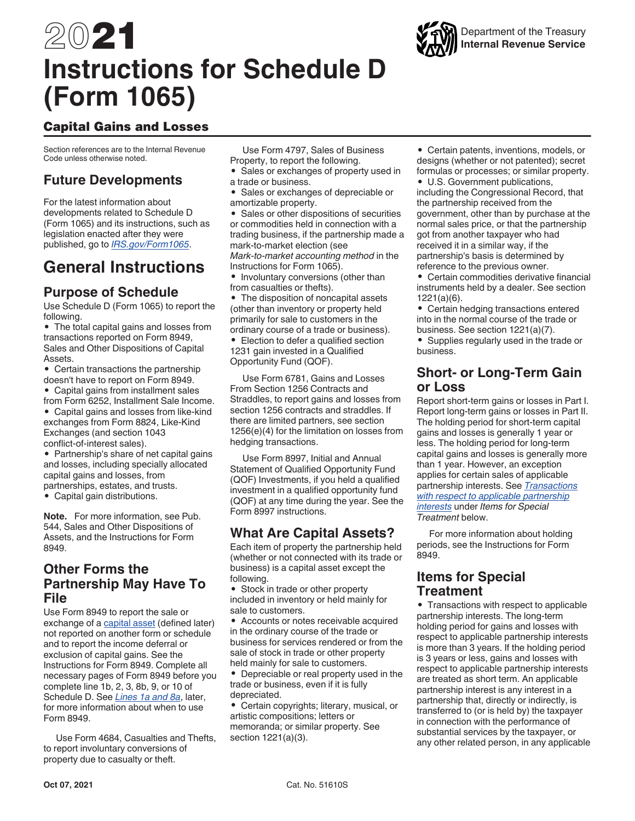# 2021 **Instructions for Schedule D (Form 1065)**

# Capital Gains and Losses

Section references are to the Internal Revenue Code unless otherwise noted.

# **Future Developments**

For the latest information about developments related to Schedule D (Form 1065) and its instructions, such as legislation enacted after they were published, go to *[IRS.gov/Form1065](https://www.irs.gov/form1065)*.

# **General Instructions**

## **Purpose of Schedule**

Use Schedule D (Form 1065) to report the following.

• The total capital gains and losses from transactions reported on Form 8949, Sales and Other Dispositions of Capital Assets.

• Certain transactions the partnership doesn't have to report on Form 8949.

• Capital gains from installment sales from Form 6252, Installment Sale Income.

• Capital gains and losses from like-kind exchanges from Form 8824, Like-Kind Exchanges (and section 1043 conflict-of-interest sales).

• Partnership's share of net capital gains and losses, including specially allocated capital gains and losses, from partnerships, estates, and trusts.

• Capital gain distributions.

**Note.** For more information, see Pub. 544, Sales and Other Dispositions of Assets, and the Instructions for Form 8949.

## **Other Forms the Partnership May Have To File**

Use Form 8949 to report the sale or exchange of a capital asset (defined later) not reported on another form or schedule and to report the income deferral or exclusion of capital gains. See the Instructions for Form 8949. Complete all necessary pages of Form 8949 before you complete line 1b, 2, 3, 8b, 9, or 10 of Schedule D. See *Lines 1a and 8a*, later, for more information about when to use Form 8949.

Use Form 4684, Casualties and Thefts, to report involuntary conversions of property due to casualty or theft.

Use Form 4797, Sales of Business Property, to report the following.

- Sales or exchanges of property used in a trade or business.
- Sales or exchanges of depreciable or amortizable property.

• Sales or other dispositions of securities or commodities held in connection with a trading business, if the partnership made a mark-to-market election (see *Mark-to-market accounting method* in the Instructions for Form 1065).

• Involuntary conversions (other than from casualties or thefts).

• The disposition of noncapital assets (other than inventory or property held primarily for sale to customers in the ordinary course of a trade or business).

• Election to defer a qualified section 1231 gain invested in a Qualified Opportunity Fund (QOF).

Use Form 6781, Gains and Losses From Section 1256 Contracts and Straddles, to report gains and losses from section 1256 contracts and straddles. If there are limited partners, see section 1256(e)(4) for the limitation on losses from hedging transactions.

Use Form 8997, Initial and Annual Statement of Qualified Opportunity Fund (QOF) Investments, if you held a qualified investment in a qualified opportunity fund (QOF) at any time during the year. See the Form 8997 instructions.

## **What Are Capital Assets?**

Each item of property the partnership held (whether or not connected with its trade or business) is a capital asset except the following.

• Stock in trade or other property included in inventory or held mainly for sale to customers.

• Accounts or notes receivable acquired in the ordinary course of the trade or business for services rendered or from the sale of stock in trade or other property held mainly for sale to customers.

• Depreciable or real property used in the trade or business, even if it is fully depreciated.

• Certain copyrights; literary, musical, or artistic compositions; letters or memoranda; or similar property. See section 1221(a)(3).

• Certain patents, inventions, models, or designs (whether or not patented); secret formulas or processes; or similar property.

• U.S. Government publications, including the Congressional Record, that the partnership received from the government, other than by purchase at the normal sales price, or that the partnership got from another taxpayer who had received it in a similar way, if the partnership's basis is determined by reference to the previous owner.

• Certain commodities derivative financial instruments held by a dealer. See section 1221(a)(6).

• Certain hedging transactions entered into in the normal course of the trade or business. See section 1221(a)(7).

• Supplies regularly used in the trade or business.

## **Short- or Long-Term Gain or Loss**

Report short-term gains or losses in Part I. Report long-term gains or losses in Part II. The holding period for short-term capital gains and losses is generally 1 year or less. The holding period for long-term capital gains and losses is generally more than 1 year. However, an exception applies for certain sales of applicable partnership interests. See *Transactions with respect to applicable partnership interests* under *Items for Special Treatment* below.

For more information about holding periods, see the Instructions for Form 8949.

## **Items for Special Treatment**

• Transactions with respect to applicable partnership interests. The long-term holding period for gains and losses with respect to applicable partnership interests is more than 3 years. If the holding period is 3 years or less, gains and losses with respect to applicable partnership interests are treated as short term. An applicable partnership interest is any interest in a partnership that, directly or indirectly, is transferred to (or is held by) the taxpayer in connection with the performance of substantial services by the taxpayer, or any other related person, in any applicable

# Department of the Treasury **Internal Revenue Service**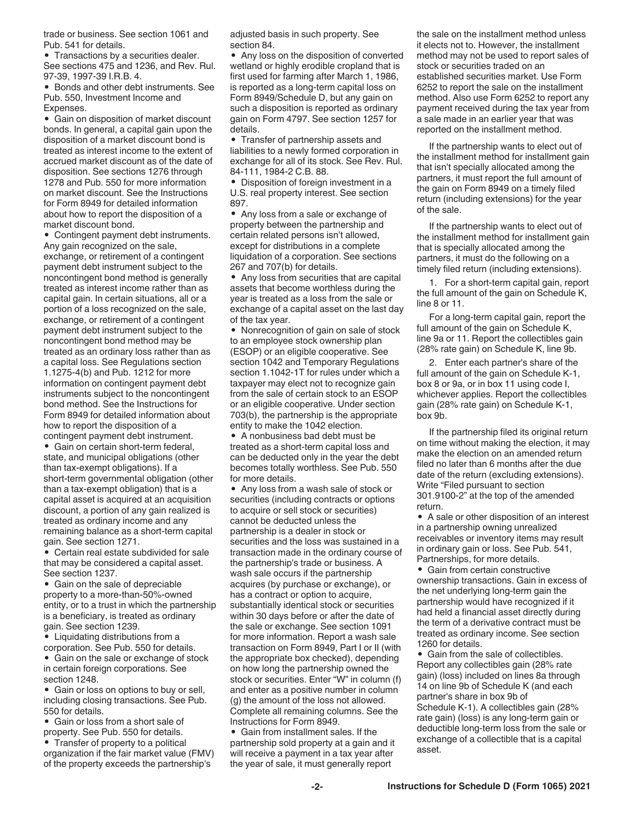trade or business. See section 1061 and Pub. 541 for details.

• Transactions by a securities dealer. See sections 475 and 1236, and Rev. Rul. 97-39, 1997-39 I.R.B. 4.

• Bonds and other debt instruments. See Pub. 550, Investment Income and Expenses.

• Gain on disposition of market discount bonds. In general, a capital gain upon the disposition of a market discount bond is treated as interest income to the extent of accrued market discount as of the date of disposition. See sections 1276 through 1278 and Pub. 550 for more information on market discount. See the Instructions for Form 8949 for detailed information about how to report the disposition of a market discount bond.

• Contingent payment debt instruments. Any gain recognized on the sale, exchange, or retirement of a contingent payment debt instrument subject to the noncontingent bond method is generally treated as interest income rather than as capital gain. In certain situations, all or a portion of a loss recognized on the sale, exchange, or retirement of a contingent payment debt instrument subject to the noncontingent bond method may be treated as an ordinary loss rather than as a capital loss. See Regulations section 1.1275-4(b) and Pub. 1212 for more information on contingent payment debt instruments subject to the noncontingent bond method. See the Instructions for Form 8949 for detailed information about how to report the disposition of a contingent payment debt instrument.

• Gain on certain short-term federal, state, and municipal obligations (other than tax-exempt obligations). If a short-term governmental obligation (other than a tax-exempt obligation) that is a capital asset is acquired at an acquisition discount, a portion of any gain realized is treated as ordinary income and any remaining balance as a short-term capital gain. See section 1271.

• Certain real estate subdivided for sale that may be considered a capital asset. See section 1237.

• Gain on the sale of depreciable property to a more-than-50%-owned entity, or to a trust in which the partnership is a beneficiary, is treated as ordinary gain. See section 1239.

• Liquidating distributions from a corporation. See Pub. 550 for details.

• Gain on the sale or exchange of stock in certain foreign corporations. See section 1248.

• Gain or loss on options to buy or sell, including closing transactions. See Pub. 550 for details.

• Gain or loss from a short sale of property. See Pub. 550 for details.

• Transfer of property to a political organization if the fair market value (FMV) of the property exceeds the partnership's

adjusted basis in such property. See section 84.

• Any loss on the disposition of converted wetland or highly erodible cropland that is first used for farming after March 1, 1986, is reported as a long-term capital loss on Form 8949/Schedule D, but any gain on such a disposition is reported as ordinary gain on Form 4797. See section 1257 for details.

• Transfer of partnership assets and liabilities to a newly formed corporation in exchange for all of its stock. See Rev. Rul. 84-111, 1984-2 C.B. 88.

• Disposition of foreign investment in a U.S. real property interest. See section 897.

• Any loss from a sale or exchange of property between the partnership and certain related persons isn't allowed, except for distributions in a complete liquidation of a corporation. See sections 267 and 707(b) for details.

• Any loss from securities that are capital assets that become worthless during the year is treated as a loss from the sale or exchange of a capital asset on the last day of the tax year.

• Nonrecognition of gain on sale of stock to an employee stock ownership plan (ESOP) or an eligible cooperative. See section 1042 and Temporary Regulations section 1.1042-1T for rules under which a taxpayer may elect not to recognize gain from the sale of certain stock to an ESOP or an eligible cooperative. Under section 703(b), the partnership is the appropriate entity to make the 1042 election.

• A nonbusiness bad debt must be treated as a short-term capital loss and can be deducted only in the year the debt becomes totally worthless. See Pub. 550 for more details.

• Any loss from a wash sale of stock or securities (including contracts or options to acquire or sell stock or securities) cannot be deducted unless the partnership is a dealer in stock or securities and the loss was sustained in a transaction made in the ordinary course of the partnership's trade or business. A wash sale occurs if the partnership acquires (by purchase or exchange), or has a contract or option to acquire, substantially identical stock or securities within 30 days before or after the date of the sale or exchange. See section 1091 for more information. Report a wash sale transaction on Form 8949, Part I or II (with the appropriate box checked), depending on how long the partnership owned the stock or securities. Enter "W" in column (f) and enter as a positive number in column (g) the amount of the loss not allowed. Complete all remaining columns. See the Instructions for Form 8949.

• Gain from installment sales. If the partnership sold property at a gain and it will receive a payment in a tax year after the year of sale, it must generally report

the sale on the installment method unless it elects not to. However, the installment method may not be used to report sales of stock or securities traded on an established securities market. Use Form 6252 to report the sale on the installment method. Also use Form 6252 to report any payment received during the tax year from a sale made in an earlier year that was reported on the installment method.

If the partnership wants to elect out of the installment method for installment gain that isn't specially allocated among the partners, it must report the full amount of the gain on Form 8949 on a timely filed return (including extensions) for the year of the sale.

If the partnership wants to elect out of the installment method for installment gain that is specially allocated among the partners, it must do the following on a timely filed return (including extensions).

1. For a short-term capital gain, report the full amount of the gain on Schedule K, line 8 or 11.

For a long-term capital gain, report the full amount of the gain on Schedule K, line 9a or 11. Report the collectibles gain (28% rate gain) on Schedule K, line 9b.

2. Enter each partner's share of the full amount of the gain on Schedule K-1, box 8 or 9a, or in box 11 using code I, whichever applies. Report the collectibles gain (28% rate gain) on Schedule K-1, box 9b.

If the partnership filed its original return on time without making the election, it may make the election on an amended return filed no later than 6 months after the due date of the return (excluding extensions). Write "Filed pursuant to section 301.9100-2" at the top of the amended return.

• A sale or other disposition of an interest in a partnership owning unrealized receivables or inventory items may result in ordinary gain or loss. See Pub. 541, Partnerships, for more details.

• Gain from certain constructive ownership transactions. Gain in excess of the net underlying long-term gain the partnership would have recognized if it had held a financial asset directly during the term of a derivative contract must be treated as ordinary income. See section 1260 for details.

• Gain from the sale of collectibles. Report any collectibles gain (28% rate gain) (loss) included on lines 8a through 14 on line 9b of Schedule K (and each partner's share in box 9b of Schedule K-1). A collectibles gain (28% rate gain) (loss) is any long-term gain or deductible long-term loss from the sale or exchange of a collectible that is a capital asset.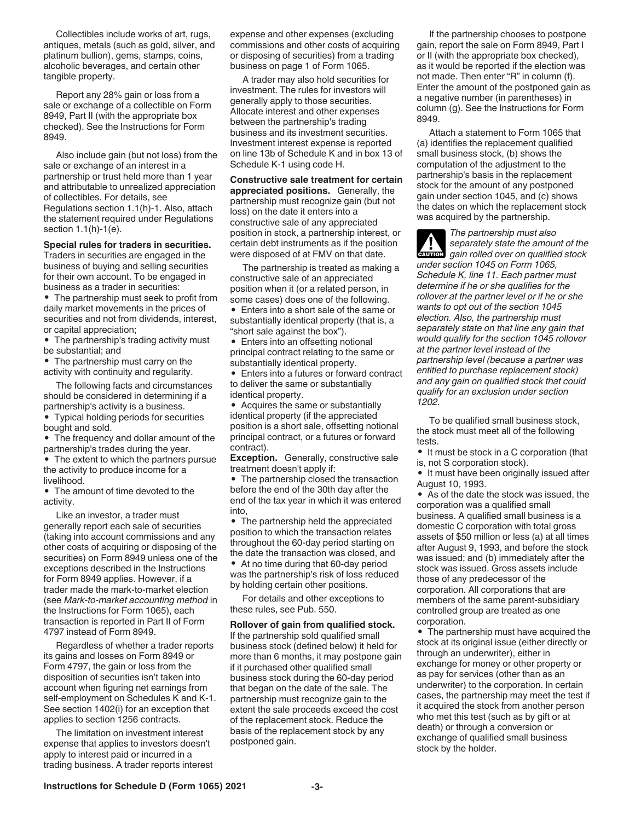Collectibles include works of art, rugs, antiques, metals (such as gold, silver, and platinum bullion), gems, stamps, coins, alcoholic beverages, and certain other tangible property.

Report any 28% gain or loss from a sale or exchange of a collectible on Form 8949, Part II (with the appropriate box checked). See the Instructions for Form 8949.

Also include gain (but not loss) from the sale or exchange of an interest in a partnership or trust held more than 1 year and attributable to unrealized appreciation of collectibles. For details, see Regulations section 1.1(h)-1. Also, attach the statement required under Regulations section 1.1(h)-1(e).

#### **Special rules for traders in securities.**

Traders in securities are engaged in the business of buying and selling securities for their own account. To be engaged in business as a trader in securities:

• The partnership must seek to profit from daily market movements in the prices of securities and not from dividends, interest, or capital appreciation;

• The partnership's trading activity must be substantial; and

• The partnership must carry on the activity with continuity and regularity.

The following facts and circumstances should be considered in determining if a partnership's activity is a business.

• Typical holding periods for securities bought and sold.

• The frequency and dollar amount of the partnership's trades during the year.

The extent to which the partners pursue the activity to produce income for a livelihood.

• The amount of time devoted to the activity.

Like an investor, a trader must generally report each sale of securities (taking into account commissions and any other costs of acquiring or disposing of the securities) on Form 8949 unless one of the exceptions described in the Instructions for Form 8949 applies. However, if a trader made the mark-to-market election (see *Mark-to-market accounting method* in the Instructions for Form 1065), each transaction is reported in Part II of Form 4797 instead of Form 8949.

Regardless of whether a trader reports its gains and losses on Form 8949 or Form 4797, the gain or loss from the disposition of securities isn't taken into account when figuring net earnings from self-employment on Schedules K and K-1. See section 1402(i) for an exception that applies to section 1256 contracts.

The limitation on investment interest expense that applies to investors doesn't apply to interest paid or incurred in a trading business. A trader reports interest expense and other expenses (excluding commissions and other costs of acquiring or disposing of securities) from a trading business on page 1 of Form 1065.

A trader may also hold securities for investment. The rules for investors will generally apply to those securities. Allocate interest and other expenses between the partnership's trading business and its investment securities. Investment interest expense is reported on line 13b of Schedule K and in box 13 of Schedule K-1 using code H.

**Constructive sale treatment for certain appreciated positions.** Generally, the partnership must recognize gain (but not loss) on the date it enters into a constructive sale of any appreciated position in stock, a partnership interest, or certain debt instruments as if the position were disposed of at FMV on that date.

The partnership is treated as making a constructive sale of an appreciated position when it (or a related person, in some cases) does one of the following.

• Enters into a short sale of the same or substantially identical property (that is, a "short sale against the box").

• Enters into an offsetting notional principal contract relating to the same or substantially identical property.

• Enters into a futures or forward contract to deliver the same or substantially identical property.

• Acquires the same or substantially identical property (if the appreciated position is a short sale, offsetting notional principal contract, or a futures or forward contract).

**Exception.** Generally, constructive sale treatment doesn't apply if:

• The partnership closed the transaction before the end of the 30th day after the end of the tax year in which it was entered into,

• The partnership held the appreciated position to which the transaction relates throughout the 60-day period starting on the date the transaction was closed, and • At no time during that 60-day period was the partnership's risk of loss reduced by holding certain other positions.

For details and other exceptions to these rules, see Pub. 550.

**Rollover of gain from qualified stock.**  If the partnership sold qualified small business stock (defined below) it held for more than 6 months, it may postpone gain if it purchased other qualified small business stock during the 60-day period that began on the date of the sale. The partnership must recognize gain to the extent the sale proceeds exceed the cost of the replacement stock. Reduce the basis of the replacement stock by any postponed gain.

If the partnership chooses to postpone gain, report the sale on Form 8949, Part I or II (with the appropriate box checked), as it would be reported if the election was not made. Then enter "R" in column (f). Enter the amount of the postponed gain as a negative number (in parentheses) in column (g). See the Instructions for Form 8949.

Attach a statement to Form 1065 that (a) identifies the replacement qualified small business stock, (b) shows the computation of the adjustment to the partnership's basis in the replacement stock for the amount of any postponed gain under section 1045, and (c) shows the dates on which the replacement stock was acquired by the partnership.

*The partnership must also separately state the amount of the*  **z** *gain rolled over on qualified stock under section 1045 on Form 1065, Schedule K, line 11. Each partner must determine if he or she qualifies for the rollover at the partner level or if he or she wants to opt out of the section 1045 election. Also, the partnership must separately state on that line any gain that would qualify for the section 1045 rollover at the partner level instead of the partnership level (because a partner was entitled to purchase replacement stock) and any gain on qualified stock that could qualify for an exclusion under section 1202.*

To be qualified small business stock, the stock must meet all of the following tests.

• It must be stock in a C corporation (that is, not S corporation stock).

• It must have been originally issued after August 10, 1993.

• As of the date the stock was issued, the corporation was a qualified small business. A qualified small business is a domestic C corporation with total gross assets of \$50 million or less (a) at all times after August 9, 1993, and before the stock was issued; and (b) immediately after the stock was issued. Gross assets include those of any predecessor of the corporation. All corporations that are members of the same parent-subsidiary controlled group are treated as one corporation.

• The partnership must have acquired the stock at its original issue (either directly or through an underwriter), either in exchange for money or other property or as pay for services (other than as an underwriter) to the corporation. In certain cases, the partnership may meet the test if it acquired the stock from another person who met this test (such as by gift or at death) or through a conversion or exchange of qualified small business stock by the holder.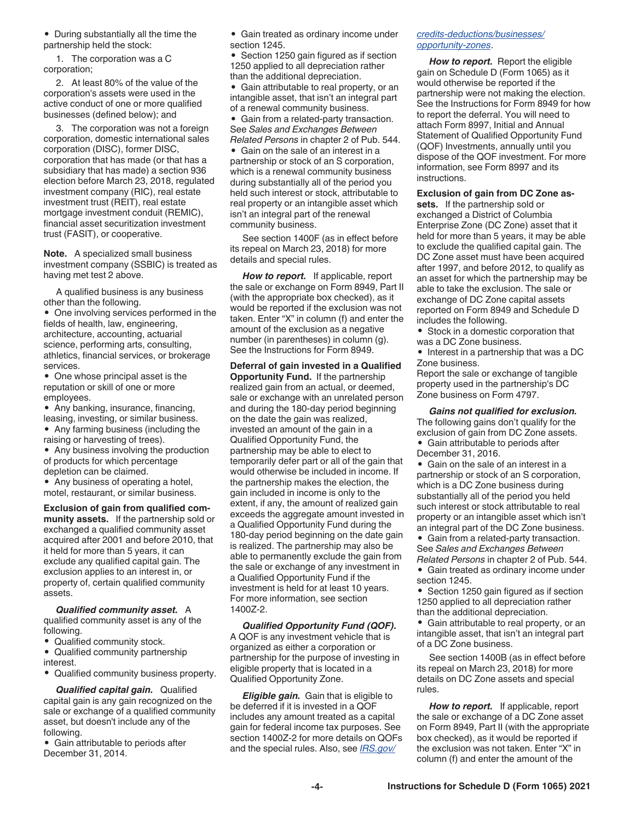• During substantially all the time the partnership held the stock:

1. The corporation was a C corporation;

2. At least 80% of the value of the corporation's assets were used in the active conduct of one or more qualified businesses (defined below); and

3. The corporation was not a foreign corporation, domestic international sales corporation (DISC), former DISC, corporation that has made (or that has a subsidiary that has made) a section 936 election before March 23, 2018, regulated investment company (RIC), real estate investment trust (REIT), real estate mortgage investment conduit (REMIC), financial asset securitization investment trust (FASIT), or cooperative.

**Note.** A specialized small business investment company (SSBIC) is treated as having met test 2 above.

A qualified business is any business other than the following.

• One involving services performed in the fields of health, law, engineering, architecture, accounting, actuarial science, performing arts, consulting, athletics, financial services, or brokerage services.

• One whose principal asset is the reputation or skill of one or more employees.

- Any banking, insurance, financing, leasing, investing, or similar business.
- Any farming business (including the

raising or harvesting of trees). • Any business involving the production

of products for which percentage depletion can be claimed.

• Any business of operating a hotel, motel, restaurant, or similar business.

**Exclusion of gain from qualified community assets.** If the partnership sold or exchanged a qualified community asset acquired after 2001 and before 2010, that it held for more than 5 years, it can exclude any qualified capital gain. The exclusion applies to an interest in, or property of, certain qualified community assets.

*Qualified community asset.* A qualified community asset is any of the following.

• Qualified community stock.

• Qualified community partnership interest.

• Qualified community business property.

*Qualified capital gain.* Qualified capital gain is any gain recognized on the sale or exchange of a qualified community asset, but doesn't include any of the following.

• Gain attributable to periods after December 31, 2014.

• Gain treated as ordinary income under section 1245.

Section 1250 gain figured as if section 1250 applied to all depreciation rather than the additional depreciation.

• Gain attributable to real property, or an intangible asset, that isn't an integral part of a renewal community business.

• Gain from a related-party transaction. See *Sales and Exchanges Between Related Persons* in chapter 2 of Pub. 544.

• Gain on the sale of an interest in a partnership or stock of an S corporation, which is a renewal community business during substantially all of the period you held such interest or stock, attributable to real property or an intangible asset which isn't an integral part of the renewal community business.

See section 1400F (as in effect before its repeal on March 23, 2018) for more details and special rules.

*How to report.* If applicable, report the sale or exchange on Form 8949, Part II (with the appropriate box checked), as it would be reported if the exclusion was not taken. Enter "X" in column (f) and enter the amount of the exclusion as a negative number (in parentheses) in column (g). See the Instructions for Form 8949.

**Deferral of gain invested in a Qualified Opportunity Fund.** If the partnership realized gain from an actual, or deemed, sale or exchange with an unrelated person and during the 180-day period beginning on the date the gain was realized, invested an amount of the gain in a Qualified Opportunity Fund, the partnership may be able to elect to temporarily defer part or all of the gain that would otherwise be included in income. If the partnership makes the election, the gain included in income is only to the extent, if any, the amount of realized gain exceeds the aggregate amount invested in a Qualified Opportunity Fund during the 180-day period beginning on the date gain is realized. The partnership may also be able to permanently exclude the gain from the sale or exchange of any investment in a Qualified Opportunity Fund if the investment is held for at least 10 years. For more information, see section 1400Z-2.

*Qualified Opportunity Fund (QOF).*  A QOF is any investment vehicle that is organized as either a corporation or partnership for the purpose of investing in eligible property that is located in a Qualified Opportunity Zone.

*Eligible gain.* Gain that is eligible to be deferred if it is invested in a QOF includes any amount treated as a capital gain for federal income tax purposes. See section 1400Z-2 for more details on QOFs and the special rules. Also, see *[IRS.gov/](https://www.irs.gov/credits-deductions/businesses/opportunity-zones)*

#### *[credits-deductions/businesses/](https://www.irs.gov/credits-deductions/businesses/opportunity-zones) [opportunity-zones](https://www.irs.gov/credits-deductions/businesses/opportunity-zones)*.

*How to report.* Report the eligible gain on Schedule D (Form 1065) as it would otherwise be reported if the partnership were not making the election. See the Instructions for Form 8949 for how to report the deferral. You will need to attach Form 8997, Initial and Annual Statement of Qualified Opportunity Fund (QOF) Investments, annually until you dispose of the QOF investment. For more information, see Form 8997 and its instructions.

**Exclusion of gain from DC Zone as-**

**sets.** If the partnership sold or exchanged a District of Columbia Enterprise Zone (DC Zone) asset that it held for more than 5 years, it may be able to exclude the qualified capital gain. The DC Zone asset must have been acquired after 1997, and before 2012, to qualify as an asset for which the partnership may be able to take the exclusion. The sale or exchange of DC Zone capital assets reported on Form 8949 and Schedule D includes the following.

• Stock in a domestic corporation that was a DC Zone business.

• Interest in a partnership that was a DC Zone business.

Report the sale or exchange of tangible property used in the partnership's DC Zone business on Form 4797.

*Gains not qualified for exclusion.*  The following gains don't qualify for the exclusion of gain from DC Zone assets. • Gain attributable to periods after

December 31, 2016.

• Gain on the sale of an interest in a partnership or stock of an S corporation, which is a DC Zone business during substantially all of the period you held such interest or stock attributable to real property or an intangible asset which isn't an integral part of the DC Zone business.

• Gain from a related-party transaction. See *Sales and Exchanges Between Related Persons* in chapter 2 of Pub. 544.

• Gain treated as ordinary income under section 1245.

• Section 1250 gain figured as if section 1250 applied to all depreciation rather than the additional depreciation.

• Gain attributable to real property, or an intangible asset, that isn't an integral part of a DC Zone business.

See section 1400B (as in effect before its repeal on March 23, 2018) for more details on DC Zone assets and special rules.

*How to report.* If applicable, report the sale or exchange of a DC Zone asset on Form 8949, Part II (with the appropriate box checked), as it would be reported if the exclusion was not taken. Enter "X" in column (f) and enter the amount of the